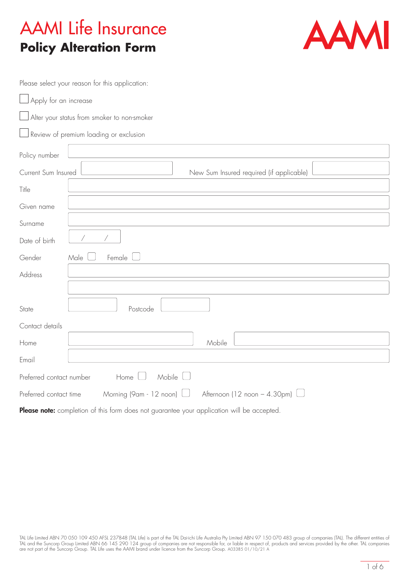# AAMI Life Insurance **Policy Alteration Form**



Please select your reason for this application:

|                                             | Apply for an increase                                            |  |  |  |  |
|---------------------------------------------|------------------------------------------------------------------|--|--|--|--|
| Alter your status from smoker to non-smoker |                                                                  |  |  |  |  |
|                                             | Review of premium loading or exclusion                           |  |  |  |  |
| Policy number                               |                                                                  |  |  |  |  |
| Current Sum Insured                         | New Sum Insured required (if applicable)                         |  |  |  |  |
| Title                                       |                                                                  |  |  |  |  |
| Given name                                  |                                                                  |  |  |  |  |
| Surname                                     |                                                                  |  |  |  |  |
| Date of birth                               |                                                                  |  |  |  |  |
| Gender                                      | Male<br>Female                                                   |  |  |  |  |
| Address                                     |                                                                  |  |  |  |  |
|                                             |                                                                  |  |  |  |  |
| State                                       | Postcode                                                         |  |  |  |  |
| Contact details                             |                                                                  |  |  |  |  |
| Home                                        | Mobile                                                           |  |  |  |  |
| Email                                       |                                                                  |  |  |  |  |
| Preferred contact number                    | Mobile<br>Home                                                   |  |  |  |  |
| Preferred contact time                      | Morning (9am - 12 noon)<br>Afternoon (12 noon $-$ 4.30pm) $\Box$ |  |  |  |  |

Please note: completion of this form does not guarantee your application will be accepted.

TAL Life Limited ABN 70 050 109 450 AFSL 237848 (TAL Life) is part of the TAL Dai-ichi Life Australia Pty Limited ABN 97 150 070 483 group of companies (TAL). The different entities of TAL and the Suncorp Group Limited ABN 66 145 290 124 group of companies are not responsible for, or liable in respect of, products and services provided by the other. TAL companies are not part of the Suncorp Group. TAL Life uses the AAMI brand under licence from the Suncorp Group. A03385 01/10/21 A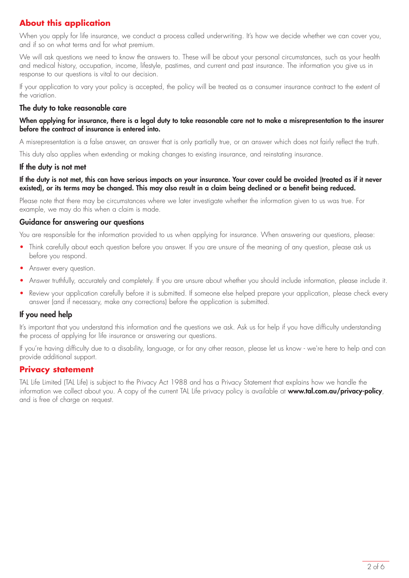## **About this application**

When you apply for life insurance, we conduct a process called underwriting. It's how we decide whether we can cover you, and if so on what terms and for what premium.

We will ask questions we need to know the answers to. These will be about your personal circumstances, such as your health and medical history, occupation, income, lifestyle, pastimes, and current and past insurance. The information you give us in response to our questions is vital to our decision.

If your application to vary your policy is accepted, the policy will be treated as a consumer insurance contract to the extent of the variation.

### The duty to take reasonable care

#### When applying for insurance, there is a legal duty to take reasonable care not to make a misrepresentation to the insurer before the contract of insurance is entered into.

A misrepresentation is a false answer, an answer that is only partially true, or an answer which does not fairly reflect the truth.

This duty also applies when extending or making changes to existing insurance, and reinstating insurance.

#### If the duty is not met

#### If the duty is not met, this can have serious impacts on your insurance. Your cover could be avoided (treated as if it never existed), or its terms may be changed. This may also result in a claim being declined or a benefit being reduced.

Please note that there may be circumstances where we later investigate whether the information given to us was true. For example, we may do this when a claim is made.

### Guidance for answering our questions

You are responsible for the information provided to us when applying for insurance. When answering our questions, please:

- Think carefully about each question before you answer. If you are unsure of the meaning of any question, please ask us before you respond.
- Answer every question.
- Answer truthfully, accurately and completely. If you are unsure about whether you should include information, please include it.
- Review your application carefully before it is submitted. If someone else helped prepare your application, please check every answer (and if necessary, make any corrections) before the application is submitted.

### If you need help

It's important that you understand this information and the questions we ask. Ask us for help if you have difficulty understanding the process of applying for life insurance or answering our questions.

If you're having difficulty due to a disability, language, or for any other reason, please let us know - we're here to help and can provide additional support.

### **Privacy statement**

TAL Life Limited (TAL Life) is subject to the Privacy Act 1988 and has a Privacy Statement that explains how we handle the information we collect about you. A copy of the current TAL Life privacy policy is available at www.tal.com.au/privacy-policy, and is free of charge on request.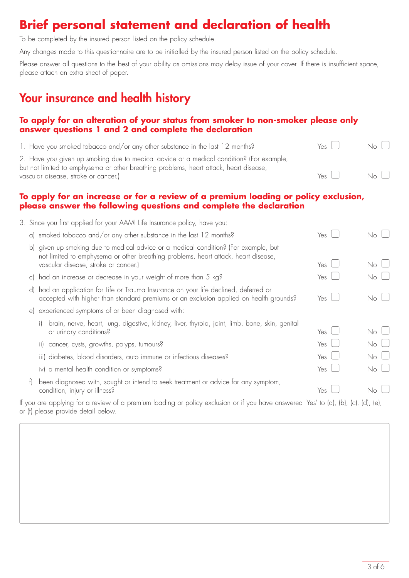# **Brief personal statement and declaration of health**

To be completed by the insured person listed on the policy schedule.

Any changes made to this questionnaire are to be initialled by the insured person listed on the policy schedule.

Please answer all questions to the best of your ability as omissions may delay issue of your cover. If there is insufficient space, please attach an extra sheet of paper.

# Your insurance and health history

## **To apply for an alteration of your status from smoker to non-smoker please only answer questions 1 and 2 and complete the declaration**

| 1. Have you smoked tobacco and/or any other substance in the last 12 months?                                                                                                       | Yes I           | No.          |  |
|------------------------------------------------------------------------------------------------------------------------------------------------------------------------------------|-----------------|--------------|--|
| 2. Have you given up smoking due to medical advice or a medical condition? (For example,<br>but not limited to emphysema or other breathing problems, heart attack, heart disease, |                 |              |  |
| vascular disease, stroke or cancer.)                                                                                                                                               | $Y_{\text{es}}$ | $N_{\Omega}$ |  |

## **To apply for an increase or for a review of a premium loading or policy exclusion, please answer the following questions and complete the declaration**

|                     | 3. Since you first applied for your AAMI Life Insurance policy, have you:                                                                                                                                      |              |             |
|---------------------|----------------------------------------------------------------------------------------------------------------------------------------------------------------------------------------------------------------|--------------|-------------|
|                     | a) smoked tobacco and/or any other substance in the last 12 months?                                                                                                                                            | Yes $\sqcup$ | No l        |
| b)                  | given up smoking due to medical advice or a medical condition? (For example, but<br>not limited to emphysema or other breathing problems, heart attack, heart disease,<br>vascular disease, stroke or cancer.) | Yes          | No l        |
|                     | c) had an increase or decrease in your weight of more than 5 kg?                                                                                                                                               | Yes $\sqcup$ | $No$ $\Box$ |
| $\mathsf{d}$        | had an application for Life or Trauma Insurance on your life declined, deferred or<br>accepted with higher than standard premiums or an exclusion applied on health grounds?                                   | Yes          | No l        |
| $\epsilon$          | experienced symptoms of or been diagnosed with:                                                                                                                                                                |              |             |
|                     | brain, nerve, heart, lung, digestive, kidney, liver, thyroid, joint, limb, bone, skin, genital<br>or urinary conditions?                                                                                       | Yes          | No l        |
|                     | ii) cancer, cysts, growths, polyps, tumours?                                                                                                                                                                   | Yes $\sqcup$ | $No \cup$   |
|                     | iii) diabetes, blood disorders, auto immune or infectious diseases?                                                                                                                                            | Yes          | $No$ $\Box$ |
|                     | iv) a mental health condition or symptoms?                                                                                                                                                                     | Yes $\sqcup$ | $No \cup$   |
| $\vert \cdot \vert$ | been diagnosed with, sought or intend to seek treatment or advice for any symptom,<br>condition, injury or illness?                                                                                            | Yes          | No I        |
|                     | If you are applying for a review of a premium loading or policy exclusion or if you have answered 'Yes' to (a), (b), (c), (d), (e),                                                                            |              |             |

or (f) please provide detail below.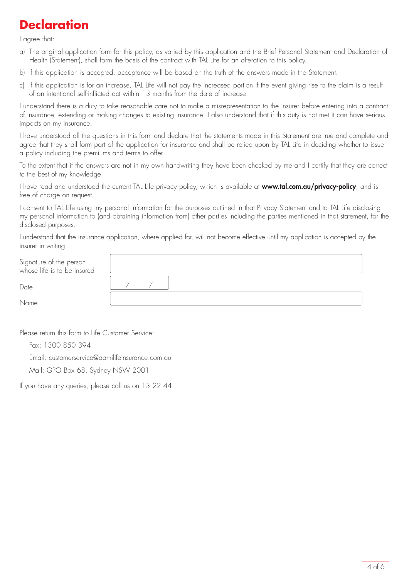# **Declaration**

I agree that:

- a) The original application form for this policy, as varied by this application and the Brief Personal Statement and Declaration of Health (Statement), shall form the basis of the contract with TAL Life for an alteration to this policy.
- b) If this application is accepted, acceptance will be based on the truth of the answers made in the Statement.
- c) If this application is for an increase, TAL Life will not pay the increased portion if the event giving rise to the claim is a result of an intentional self-inflicted act within 13 months from the date of increase.

I understand there is a duty to take reasonable care not to make a misrepresentation to the insurer before entering into a contract of insurance, extending or making changes to existing insurance. I also understand that if this duty is not met it can have serious impacts on my insurance.

I have understood all the questions in this form and declare that the statements made in this Statement are true and complete and agree that they shall form part of the application for insurance and shall be relied upon by TAL Life in deciding whether to issue a policy including the premiums and terms to offer.

To the extent that if the answers are not in my own handwriting they have been checked by me and I certify that they are correct to the best of my knowledge.

I have read and understood the current TAL Life privacy policy, which is available at www.tal.com.au/privacy-policy, and is free of charge on request.

I consent to TAL Life using my personal information for the purposes outlined in that Privacy Statement and to TAL Life disclosing my personal information to (and obtaining information from) other parties including the parties mentioned in that statement, for the disclosed purposes.

I understand that the insurance application, where applied for, will not become effective until my application is accepted by the insurer in writing.

| Signature of the person<br>whose life is to be insured |  |
|--------------------------------------------------------|--|
| Date                                                   |  |
| Name                                                   |  |

Please return this form to Life Customer Service:

Fax: 1300 850 394

Email: customerservice@aamilifeinsurance.com.au

Mail: GPO Box 68, Sydney NSW 2001

If you have any queries, please call us on 13 22 44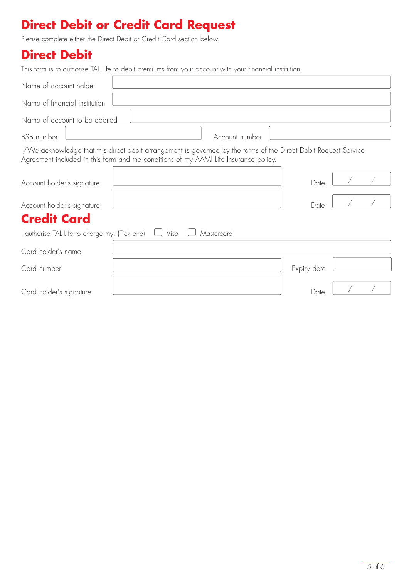# **Direct Debit or Credit Card Request**

Please complete either the Direct Debit or Credit Card section below.

## **Direct Debit**

| This form is to authorise TAL Life to debit premiums from your account with your financial institution.                                                                                                  |      |                |             |  |  |  |
|----------------------------------------------------------------------------------------------------------------------------------------------------------------------------------------------------------|------|----------------|-------------|--|--|--|
| Name of account holder                                                                                                                                                                                   |      |                |             |  |  |  |
| Name of financial institution                                                                                                                                                                            |      |                |             |  |  |  |
| Name of account to be debited                                                                                                                                                                            |      |                |             |  |  |  |
| <b>BSB</b> number                                                                                                                                                                                        |      | Account number |             |  |  |  |
| I/We acknowledge that this direct debit arrangement is governed by the terms of the Direct Debit Request Service<br>Agreement included in this form and the conditions of my AAMI Life Insurance policy. |      |                |             |  |  |  |
| Account holder's signature                                                                                                                                                                               |      |                | Date        |  |  |  |
| Account holder's signature                                                                                                                                                                               |      |                | Date        |  |  |  |
| <b>Credit Card</b>                                                                                                                                                                                       |      |                |             |  |  |  |
| I authorise TAL Life to charge my: (Tick one)                                                                                                                                                            | Visa | Mastercard     |             |  |  |  |
| Card holder's name                                                                                                                                                                                       |      |                |             |  |  |  |
| Card number                                                                                                                                                                                              |      |                | Expiry date |  |  |  |
| Card holder's signature                                                                                                                                                                                  |      |                | Date        |  |  |  |